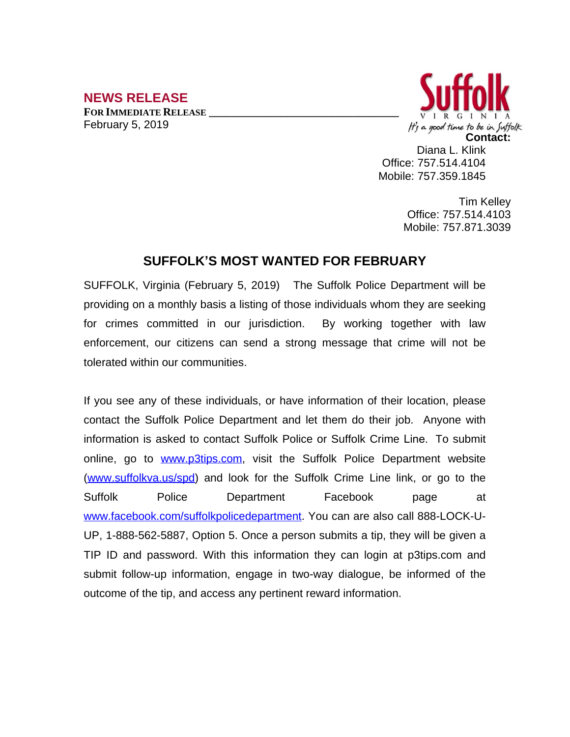## **NEWS RELEASE**

**FOR IMMEDIATE RELEASE \_\_\_\_\_\_\_\_\_\_\_\_\_\_\_\_\_\_\_\_\_\_\_\_\_\_\_\_\_\_\_\_\_\_** February 5, 2019



Diana L. Klink Office: 757.514.4104 Mobile: 757.359.1845

> Tim Kelley Office: 757.514.4103 Mobile: 757.871.3039

## **SUFFOLK'S MOST WANTED FOR FEBRUARY**

SUFFOLK, Virginia (February 5, 2019) The Suffolk Police Department will be providing on a monthly basis a listing of those individuals whom they are seeking for crimes committed in our jurisdiction. By working together with law enforcement, our citizens can send a strong message that crime will not be tolerated within our communities.

If you see any of these individuals, or have information of their location, please contact the Suffolk Police Department and let them do their job. Anyone with information is asked to contact Suffolk Police or Suffolk Crime Line. To submit online, go to [www.p3tips.com](http://www.p3tips.com), visit the Suffolk Police Department website ([www.suffolkva.us/spd](http://www.suffolkva.us/spd)) and look for the Suffolk Crime Line link, or go to the Suffolk Police Department Facebook page at [www.facebook.com/suffolkpolicedepartment](http://www.facebook.com/suffolkpolicedepartment). You can are also call 888-LOCK-U-UP, 1-888-562-5887, Option 5. Once a person submits a tip, they will be given a TIP ID and password. With this information they can login at p3tips.com and submit follow-up information, engage in two-way dialogue, be informed of the outcome of the tip, and access any pertinent reward information.